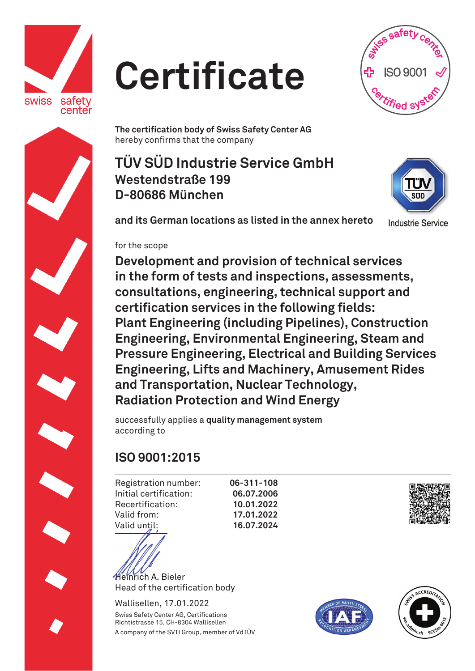

## **Certificate**



**The certification body of Swiss Safety Center AG**  hereby confirms that the company

**TÜV SÜD Industrie Service GmbH Westendstraße 199 D-80686 München** 



**and its German locations as listed in the annex hereto**

**Industrie Service** 

## for the scope

**Development and provision of technical services in the form of tests and inspections, assessments, consultations, engineering, technical support and certification services in the following fields: Plant Engineering (including Pipelines), Construction Engineering, Environmental Engineering, Steam and Pressure Engineering, Electrical and Building Services Engineering, Lifts and Machinery, Amusement Rides and Transportation, Nuclear Technology, Radiation Protection and Wind Energy** 

successfully applies a **quality management system** according to

## **ISO 9001:2015**

Registration number: Initial certification: Recertification: Valid from: Valid until:

**06-311-108 06.07.2006 10.01.2022 17.01.2022 16.07.2024** 



Heinrich A. Bieler BHead of the certification body

Wallisellen, 17.01.2022 Swiss Safety Center AG, Certifications Richtistrasse 15, CH-8304 Wallisellen A company of the SVTI Group, member of VdTÜV